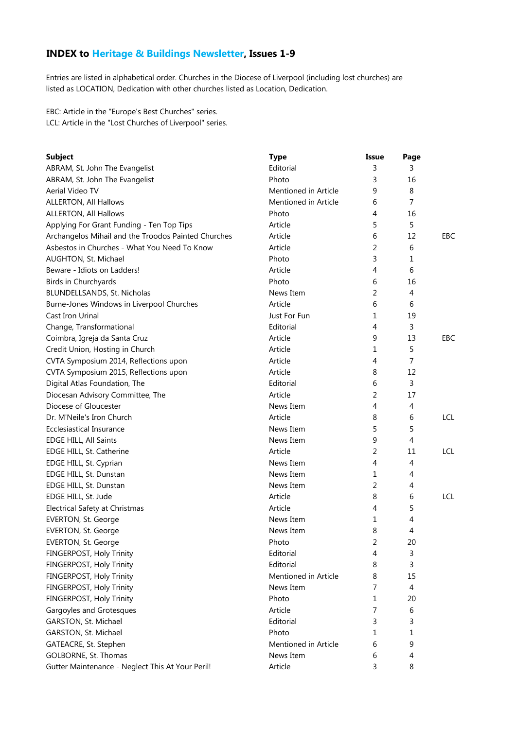## **INDEX to Heritage & Buildings Newsletter, Issues 1-9**

Entries are listed in alphabetical order. Churches in the Diocese of Liverpool (including lost churches) are listed as LOCATION, Dedication with other churches listed as Location, Dedication.

EBC: Article in the "Europe's Best Churches" series. LCL: Article in the "Lost Churches of Liverpool" series.

| <b>Subject</b>                                      | <b>Type</b>          | Issue | Page           |            |
|-----------------------------------------------------|----------------------|-------|----------------|------------|
| ABRAM, St. John The Evangelist                      | Editorial            | 3     | 3              |            |
| ABRAM, St. John The Evangelist                      | Photo                | 3     | 16             |            |
| Aerial Video TV                                     | Mentioned in Article | 9     | 8              |            |
| ALLERTON, All Hallows                               | Mentioned in Article | 6     | $\overline{7}$ |            |
| <b>ALLERTON, All Hallows</b>                        | Photo                | 4     | 16             |            |
| Applying For Grant Funding - Ten Top Tips           | Article              | 5     | 5              |            |
| Archangelos Mihail and the Troodos Painted Churches | Article              | 6     | 12             | EBC        |
| Asbestos in Churches - What You Need To Know        | Article              | 2     | 6              |            |
| AUGHTON, St. Michael                                | Photo                | 3     | 1              |            |
| Beware - Idiots on Ladders!                         | Article              | 4     | 6              |            |
| Birds in Churchyards                                | Photo                | 6     | 16             |            |
| BLUNDELLSANDS, St. Nicholas                         | News Item            | 2     | 4              |            |
| Burne-Jones Windows in Liverpool Churches           | Article              | 6     | 6              |            |
| Cast Iron Urinal                                    | Just For Fun         | 1     | 19             |            |
| Change, Transformational                            | Editorial            | 4     | 3              |            |
| Coimbra, Igreja da Santa Cruz                       | Article              | 9     | 13             | EBC        |
| Credit Union, Hosting in Church                     | Article              | 1     | 5              |            |
| CVTA Symposium 2014, Reflections upon               | Article              | 4     | 7              |            |
| CVTA Symposium 2015, Reflections upon               | Article              | 8     | 12             |            |
| Digital Atlas Foundation, The                       | Editorial            | 6     | 3              |            |
| Diocesan Advisory Committee, The                    | Article              | 2     | 17             |            |
| Diocese of Gloucester                               | News Item            | 4     | 4              |            |
| Dr. M'Neile's Iron Church                           | Article              | 8     | 6              | <b>LCL</b> |
| Ecclesiastical Insurance                            | News Item            | 5     | 5              |            |
| EDGE HILL, All Saints                               | News Item            | 9     | 4              |            |
| EDGE HILL, St. Catherine                            | Article              | 2     | 11             | <b>LCL</b> |
| EDGE HILL, St. Cyprian                              | News Item            | 4     | 4              |            |
| EDGE HILL, St. Dunstan                              | News Item            | 1     | 4              |            |
| EDGE HILL, St. Dunstan                              | News Item            | 2     | 4              |            |
| EDGE HILL, St. Jude                                 | Article              | 8     | 6              | <b>LCL</b> |
| Electrical Safety at Christmas                      | Article              | 4     | 5              |            |
| EVERTON, St. George                                 | News Item            | 1     | 4              |            |
| EVERTON, St. George                                 | News Item            | 8     | 4              |            |
| <b>EVERTON, St. George</b>                          | Photo                | 2     | 20             |            |
| FINGERPOST, Holy Trinity                            | Editorial            | 4     | 3              |            |
| FINGERPOST, Holy Trinity                            | Editorial            | 8     | 3              |            |
| FINGERPOST, Holy Trinity                            | Mentioned in Article | 8     | 15             |            |
| FINGERPOST, Holy Trinity                            | News Item            | 7     | 4              |            |
| FINGERPOST, Holy Trinity                            | Photo                | 1     | 20             |            |
| Gargoyles and Grotesques                            | Article              | 7     | 6              |            |
| GARSTON, St. Michael                                | Editorial            | 3     | 3              |            |
| GARSTON, St. Michael                                | Photo                | 1     | 1              |            |
| GATEACRE, St. Stephen                               | Mentioned in Article | 6     | 9              |            |
| GOLBORNE, St. Thomas                                | News Item            | 6     | 4              |            |
| Gutter Maintenance - Neglect This At Your Peril!    | Article              | 3     | 8              |            |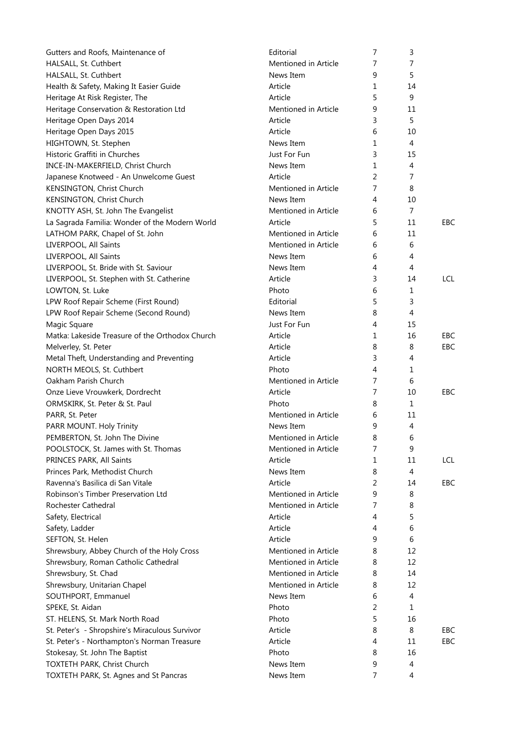| Gutters and Roofs, Maintenance of                                 | Editorial                         | 7              | 3              |            |
|-------------------------------------------------------------------|-----------------------------------|----------------|----------------|------------|
| HALSALL, St. Cuthbert                                             | Mentioned in Article              | 7              | 7              |            |
| HALSALL, St. Cuthbert                                             | News Item                         | 9              | 5              |            |
| Health & Safety, Making It Easier Guide                           | Article                           | 1              | 14             |            |
| Heritage At Risk Register, The                                    | Article                           | 5              | $9\,$          |            |
| Heritage Conservation & Restoration Ltd                           | Mentioned in Article              | 9              | 11             |            |
| Heritage Open Days 2014                                           | Article                           | 3              | 5              |            |
| Heritage Open Days 2015                                           | Article                           | 6              | 10             |            |
| HIGHTOWN, St. Stephen                                             | News Item                         | 1              | 4              |            |
| Historic Graffiti in Churches                                     | Just For Fun                      | 3              | 15             |            |
| INCE-IN-MAKERFIELD, Christ Church                                 | News Item                         | 1              | 4              |            |
| Japanese Knotweed - An Unwelcome Guest                            | Article                           | 2              | 7              |            |
| KENSINGTON, Christ Church                                         | Mentioned in Article              | 7              | 8              |            |
| KENSINGTON, Christ Church                                         | News Item                         | 4              | 10             |            |
| KNOTTY ASH, St. John The Evangelist                               | Mentioned in Article              | 6              | 7              |            |
| La Sagrada Familia: Wonder of the Modern World                    | Article                           | 5              | 11             | <b>EBC</b> |
| LATHOM PARK, Chapel of St. John                                   | Mentioned in Article              | 6              | 11             |            |
| LIVERPOOL, All Saints                                             | Mentioned in Article              | 6              | 6              |            |
| LIVERPOOL, All Saints                                             | News Item                         | 6              | 4              |            |
| LIVERPOOL, St. Bride with St. Saviour                             | News Item                         | 4              | 4              |            |
| LIVERPOOL, St. Stephen with St. Catherine                         | Article                           | 3              | 14             | <b>LCL</b> |
| LOWTON, St. Luke                                                  | Photo                             | 6              | 1              |            |
| LPW Roof Repair Scheme (First Round)                              | Editorial                         | 5              | 3              |            |
| LPW Roof Repair Scheme (Second Round)                             | News Item                         | 8              | $\overline{4}$ |            |
| Magic Square                                                      | Just For Fun                      | 4              | 15             |            |
| Matka: Lakeside Treasure of the Orthodox Church                   | Article                           | 1              | 16             | EBC        |
| Melverley, St. Peter                                              | Article                           | 8              | 8              | EBC        |
| Metal Theft, Understanding and Preventing                         | Article                           | 3              | 4              |            |
| NORTH MEOLS, St. Cuthbert                                         | Photo                             | 4              | 1              |            |
| Oakham Parish Church                                              | Mentioned in Article              | 7              | 6              |            |
|                                                                   | Article                           | $\overline{7}$ | 10             | <b>EBC</b> |
| Onze Lieve Vrouwkerk, Dordrecht<br>ORMSKIRK, St. Peter & St. Paul | Photo                             | 8              | $\mathbf 1$    |            |
|                                                                   |                                   |                |                |            |
| PARR, St. Peter                                                   | Mentioned in Article              | 6              | 11             |            |
| PARR MOUNT. Holy Trinity                                          | News Item<br>Mentioned in Article | 9              | 4              |            |
| PEMBERTON, St. John The Divine                                    |                                   | 8              | $\,$ 6 $\,$    |            |
| POOLSTOCK, St. James with St. Thomas                              | Mentioned in Article              | 7              | 9              |            |
| PRINCES PARK, All Saints                                          | Article                           | 1              | 11             | <b>LCL</b> |
| Princes Park, Methodist Church                                    | News Item                         | 8              | $\overline{4}$ |            |
| Ravenna's Basilica di San Vitale                                  | Article                           | 2              | 14             | EBC        |
| Robinson's Timber Preservation Ltd                                | Mentioned in Article              | 9              | 8              |            |
| Rochester Cathedral                                               | Mentioned in Article              | 7              | 8              |            |
| Safety, Electrical                                                | Article                           | 4              | 5              |            |
| Safety, Ladder                                                    | Article                           | 4              | 6              |            |
| SEFTON, St. Helen                                                 | Article                           | 9              | 6              |            |
| Shrewsbury, Abbey Church of the Holy Cross                        | Mentioned in Article              | 8              | 12             |            |
| Shrewsbury, Roman Catholic Cathedral                              | Mentioned in Article              | 8              | 12             |            |
| Shrewsbury, St. Chad                                              | Mentioned in Article              | 8              | 14             |            |
| Shrewsbury, Unitarian Chapel                                      | Mentioned in Article              | 8              | 12             |            |
| SOUTHPORT, Emmanuel                                               | News Item                         | 6              | 4              |            |
| SPEKE, St. Aidan                                                  | Photo                             | 2              | 1              |            |
| ST. HELENS, St. Mark North Road                                   | Photo                             | 5              | 16             |            |
| St. Peter's - Shropshire's Miraculous Survivor                    | Article                           | 8              | 8              | EBC        |
| St. Peter's - Northampton's Norman Treasure                       | Article                           | 4              | 11             | <b>EBC</b> |
| Stokesay, St. John The Baptist                                    | Photo                             | 8              | 16             |            |
| TOXTETH PARK, Christ Church                                       | News Item                         | 9              | 4              |            |
| TOXTETH PARK, St. Agnes and St Pancras                            | News Item                         | 7              | $\overline{4}$ |            |